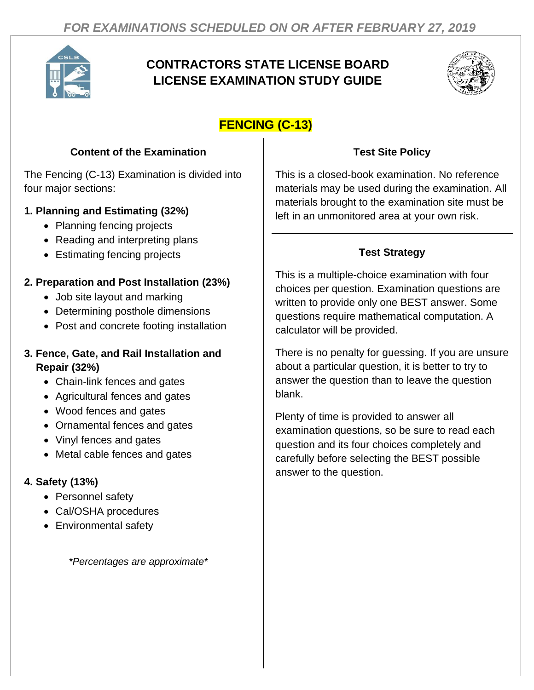

# **CONTRACTORS STATE LICENSE BOARD LICENSE EXAMINATION STUDY GUIDE**



## **FENCING (C-13)**

#### **Content of the Examination**

The Fencing (C-13) Examination is divided into four major sections:

### **1. Planning and Estimating (32%)**

- Planning fencing projects
- Reading and interpreting plans
- Estimating fencing projects

### **2. Preparation and Post Installation (23%)**

- Job site layout and marking
- Determining posthole dimensions
- Post and concrete footing installation

#### **3. Fence, Gate, and Rail Installation and Repair (32%)**

- Chain-link fences and gates
- Agricultural fences and gates
- Wood fences and gates
- Ornamental fences and gates
- Vinyl fences and gates
- Metal cable fences and gates

## **4. Safety (13%)**

- Personnel safety
- Cal/OSHA procedures
- Environmental safety

*\*Percentages are approximate\**

### **Test Site Policy**

This is a closed-book examination. No reference materials may be used during the examination. All materials brought to the examination site must be left in an unmonitored area at your own risk.

## **Test Strategy**

This is a multiple-choice examination with four choices per question. Examination questions are written to provide only one BEST answer. Some questions require mathematical computation. A calculator will be provided.

There is no penalty for guessing. If you are unsure about a particular question, it is better to try to answer the question than to leave the question blank.

Plenty of time is provided to answer all examination questions, so be sure to read each question and its four choices completely and carefully before selecting the BEST possible answer to the question.